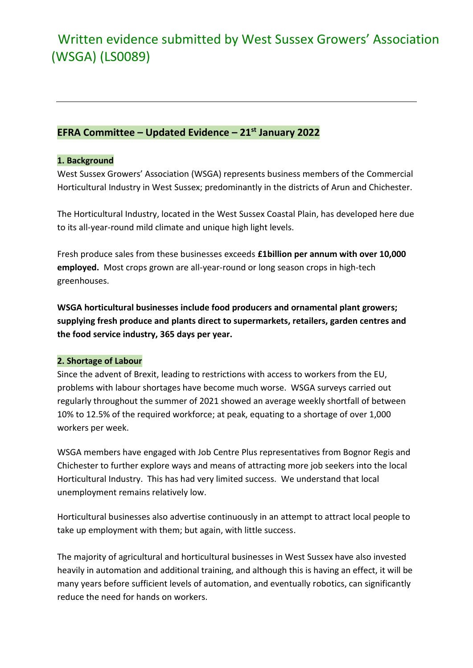# Written evidence submitted by West Sussex Growers' Association (WSGA) (LS0089)

## **EFRA Committee – Updated Evidence – 21st January 2022**

### **1. Background**

West Sussex Growers' Association (WSGA) represents business members of the Commercial Horticultural Industry in West Sussex; predominantly in the districts of Arun and Chichester.

The Horticultural Industry, located in the West Sussex Coastal Plain, has developed here due to its all-year-round mild climate and unique high light levels.

Fresh produce sales from these businesses exceeds **£1billion per annum with over 10,000 employed.** Most crops grown are all-year-round or long season crops in high-tech greenhouses.

**WSGA horticultural businesses include food producers and ornamental plant growers; supplying fresh produce and plants direct to supermarkets, retailers, garden centres and the food service industry, 365 days per year.** 

### **2. Shortage of Labour**

Since the advent of Brexit, leading to restrictions with access to workers from the EU, problems with labour shortages have become much worse. WSGA surveys carried out regularly throughout the summer of 2021 showed an average weekly shortfall of between 10% to 12.5% of the required workforce; at peak, equating to a shortage of over 1,000 workers per week.

WSGA members have engaged with Job Centre Plus representatives from Bognor Regis and Chichester to further explore ways and means of attracting more job seekers into the local Horticultural Industry. This has had very limited success. We understand that local unemployment remains relatively low.

Horticultural businesses also advertise continuously in an attempt to attract local people to take up employment with them; but again, with little success.

The majority of agricultural and horticultural businesses in West Sussex have also invested heavily in automation and additional training, and although this is having an effect, it will be many years before sufficient levels of automation, and eventually robotics, can significantly reduce the need for hands on workers.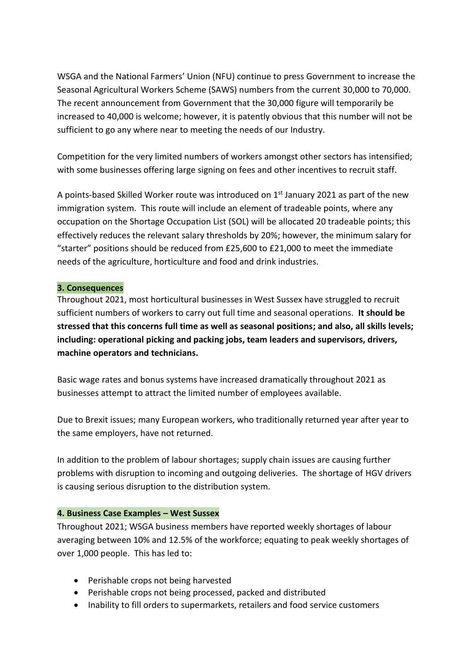WSGA and the National Farmers' Union (NFU) continue to press Government to increase the Seasonal Agricultural Workers Scheme (SAWS) numbers from the current 30,000 to 70,000. The recent announcement from Government that the 30,000 figure will temporarily be increased to 40,000 is welcome; however, it is patently obvious that this number will not be sufficient to go any where near to meeting the needs of our Industry.

Competition for the very limited numbers of workers amongst other sectors has intensified; with some businesses offering large signing on fees and other incentives to recruit staff.

A points-based Skilled Worker route was introduced on 1<sup>st</sup> January 2021 as part of the new immigration system. This route will include an element of tradeable points, where any occupation on the Shortage Occupation List (SOL) will be allocated 20 tradeable points; this effectively reduces the relevant salary thresholds by 20%; however, the minimum salary for "starter" positions should be reduced from £25,600 to £21,000 to meet the immediate needs of the agriculture, horticulture and food and drink industries.

### **3. Consequences**

Throughout 2021, most horticultural businesses in West Sussex have struggled to recruit sufficient numbers of workers to carry out full time and seasonal operations. **It should be stressed that this concerns full time as well as seasonal positions; and also, all skills levels; including: operational picking and packing jobs, team leaders and supervisors, drivers, machine operators and technicians.**

Basic wage rates and bonus systems have increased dramatically throughout 2021 as businesses attempt to attract the limited number of employees available.

Due to Brexit issues; many European workers, who traditionally returned year after year to the same employers, have not returned.

In addition to the problem of labour shortages; supply chain issues are causing further problems with disruption to incoming and outgoing deliveries. The shortage of HGV drivers is causing serious disruption to the distribution system.

### **4. Business Case Examples – West Sussex**

Throughout 2021; WSGA business members have reported weekly shortages of labour averaging between 10% and 12.5% of the workforce; equating to peak weekly shortages of over 1,000 people. This has led to:

- Perishable crops not being harvested
- Perishable crops not being processed, packed and distributed
- Inability to fill orders to supermarkets, retailers and food service customers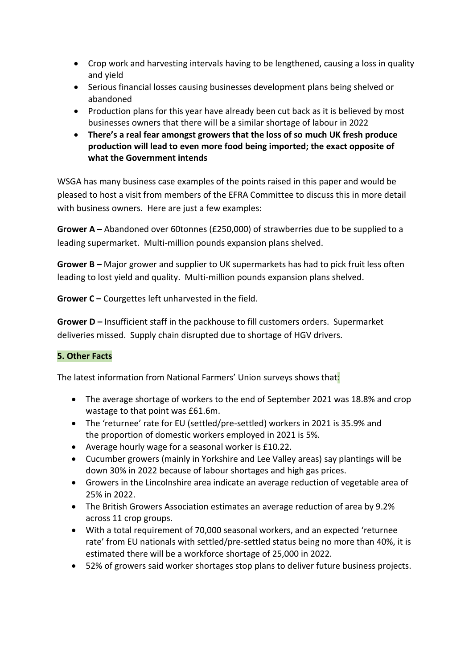- Crop work and harvesting intervals having to be lengthened, causing a loss in quality and yield
- Serious financial losses causing businesses development plans being shelved or abandoned
- Production plans for this year have already been cut back as it is believed by most businesses owners that there will be a similar shortage of labour in 2022
- **There's a real fear amongst growers that the loss of so much UK fresh produce production will lead to even more food being imported; the exact opposite of what the Government intends**

WSGA has many business case examples of the points raised in this paper and would be pleased to host a visit from members of the EFRA Committee to discuss this in more detail with business owners. Here are just a few examples:

**Grower A –** Abandoned over 60tonnes (£250,000) of strawberries due to be supplied to a leading supermarket. Multi-million pounds expansion plans shelved.

**Grower B –** Major grower and supplier to UK supermarkets has had to pick fruit less often leading to lost yield and quality. Multi-million pounds expansion plans shelved.

**Grower C –** Courgettes left unharvested in the field.

**Grower D –** Insufficient staff in the packhouse to fill customers orders. Supermarket deliveries missed. Supply chain disrupted due to shortage of HGV drivers.

### **5. Other Facts**

The latest information from National Farmers' Union surveys shows that:

- The average shortage of workers to the end of September 2021 was 18.8% and crop wastage to that point was £61.6m.
- The 'returnee' rate for EU (settled/pre-settled) workers in 2021 is 35.9% and the proportion of domestic workers employed in 2021 is 5%.
- Average hourly wage for a seasonal worker is £10.22.
- Cucumber growers (mainly in Yorkshire and Lee Valley areas) say plantings will be down 30% in 2022 because of labour shortages and high gas prices.
- Growers in the Lincolnshire area indicate an average reduction of vegetable area of 25% in 2022.
- The British Growers Association estimates an average reduction of area by 9.2% across 11 crop groups.
- With a total requirement of 70,000 seasonal workers, and an expected 'returnee rate' from EU nationals with settled/pre-settled status being no more than 40%, it is estimated there will be a workforce shortage of 25,000 in 2022.
- 52% of growers said worker shortages stop plans to deliver future business projects.